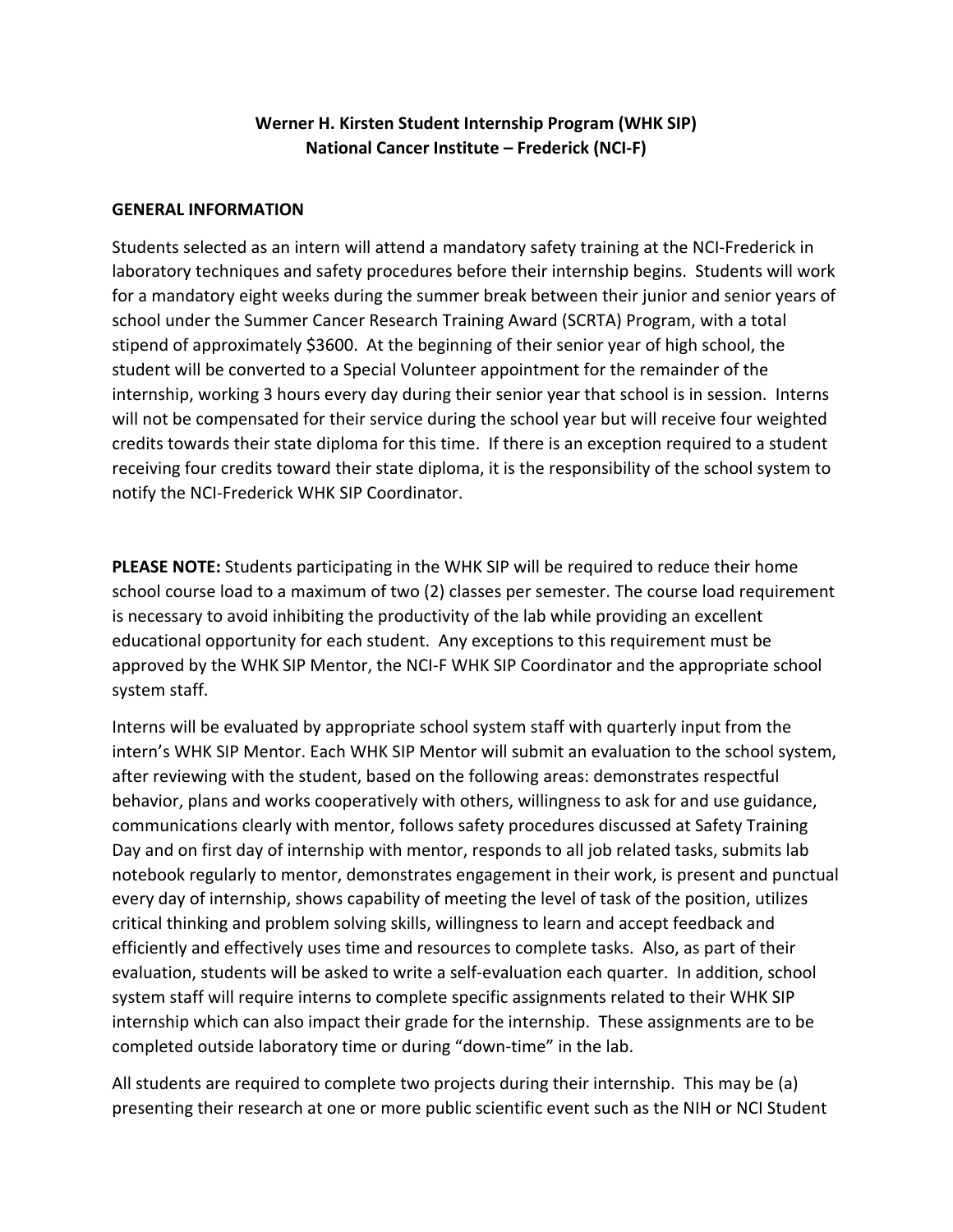# **Werner H. Kirsten Student Internship Program (WHK SIP) National Cancer Institute – Frederick (NCI-F)**

#### **GENERAL INFORMATION**

Students selected as an intern will attend a mandatory safety training at the NCI-Frederick in laboratory techniques and safety procedures before their internship begins. Students will work for a mandatory eight weeks during the summer break between their junior and senior years of school under the Summer Cancer Research Training Award (SCRTA) Program, with a total stipend of approximately \$3600. At the beginning of their senior year of high school, the student will be converted to a Special Volunteer appointment for the remainder of the internship, working 3 hours every day during their senior year that school is in session. Interns will not be compensated for their service during the school year but will receive four weighted credits towards their state diploma for this time. If there is an exception required to a student receiving four credits toward their state diploma, it is the responsibility of the school system to notify the NCI-Frederick WHK SIP Coordinator.

**PLEASE NOTE:** Students participating in the WHK SIP will be required to reduce their home school course load to a maximum of two (2) classes per semester. The course load requirement is necessary to avoid inhibiting the productivity of the lab while providing an excellent educational opportunity for each student. Any exceptions to this requirement must be approved by the WHK SIP Mentor, the NCI-F WHK SIP Coordinator and the appropriate school system staff.

Interns will be evaluated by appropriate school system staff with quarterly input from the intern's WHK SIP Mentor. Each WHK SIP Mentor will submit an evaluation to the school system, after reviewing with the student, based on the following areas: demonstrates respectful behavior, plans and works cooperatively with others, willingness to ask for and use guidance, communications clearly with mentor, follows safety procedures discussed at Safety Training Day and on first day of internship with mentor, responds to all job related tasks, submits lab notebook regularly to mentor, demonstrates engagement in their work, is present and punctual every day of internship, shows capability of meeting the level of task of the position, utilizes critical thinking and problem solving skills, willingness to learn and accept feedback and efficiently and effectively uses time and resources to complete tasks. Also, as part of their evaluation, students will be asked to write a self-evaluation each quarter. In addition, school system staff will require interns to complete specific assignments related to their WHK SIP internship which can also impact their grade for the internship. These assignments are to be completed outside laboratory time or during "down-time" in the lab.

All students are required to complete two projects during their internship. This may be (a) presenting their research at one or more public scientific event such as the NIH or NCI Student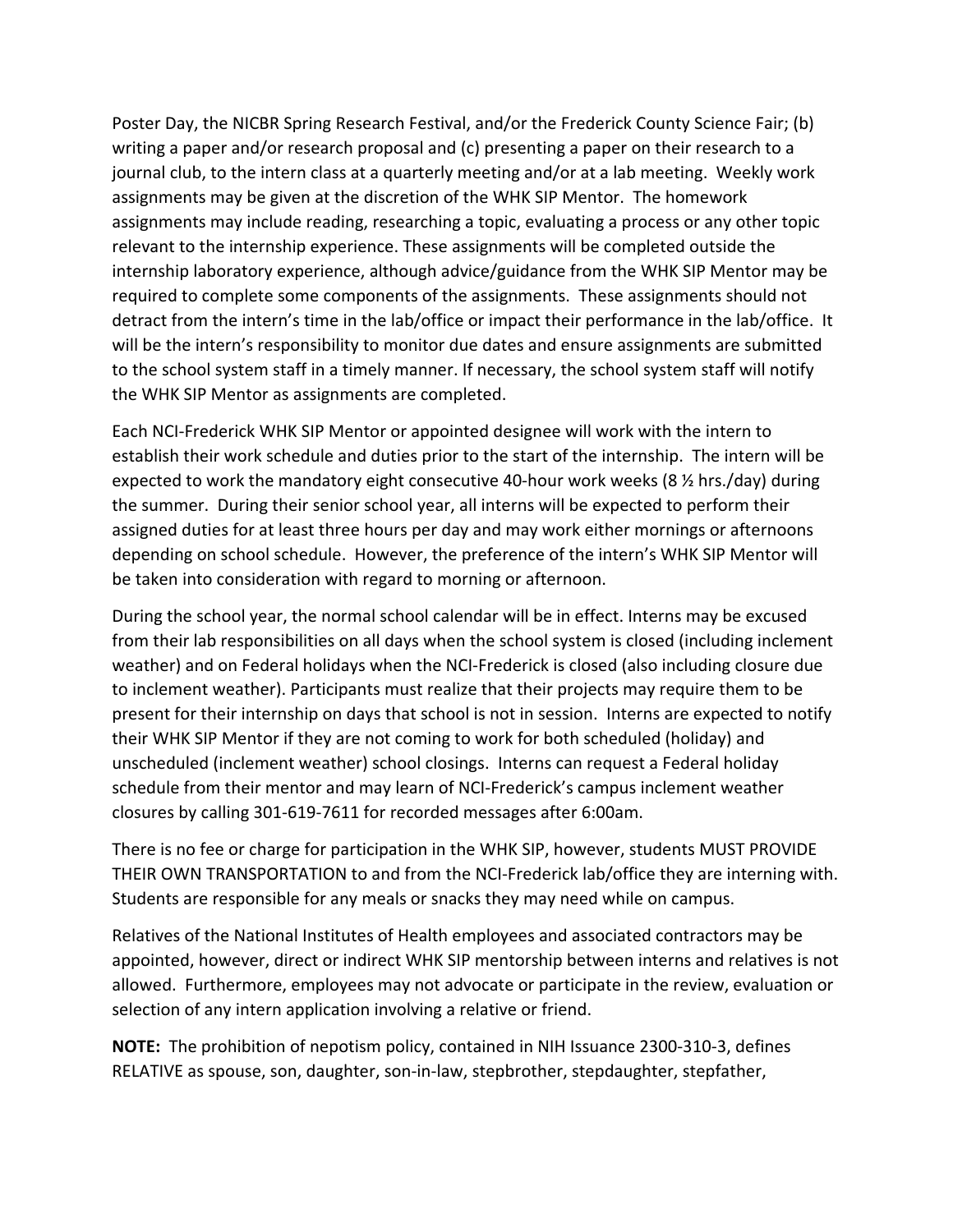Poster Day, the NICBR Spring Research Festival, and/or the Frederick County Science Fair; (b) writing a paper and/or research proposal and (c) presenting a paper on their research to a journal club, to the intern class at a quarterly meeting and/or at a lab meeting. Weekly work assignments may be given at the discretion of the WHK SIP Mentor. The homework assignments may include reading, researching a topic, evaluating a process or any other topic relevant to the internship experience. These assignments will be completed outside the internship laboratory experience, although advice/guidance from the WHK SIP Mentor may be required to complete some components of the assignments. These assignments should not detract from the intern's time in the lab/office or impact their performance in the lab/office. It will be the intern's responsibility to monitor due dates and ensure assignments are submitted to the school system staff in a timely manner. If necessary, the school system staff will notify the WHK SIP Mentor as assignments are completed.

Each NCI-Frederick WHK SIP Mentor or appointed designee will work with the intern to establish their work schedule and duties prior to the start of the internship. The intern will be expected to work the mandatory eight consecutive 40-hour work weeks (8  $\frac{1}{2}$  hrs./day) during the summer. During their senior school year, all interns will be expected to perform their assigned duties for at least three hours per day and may work either mornings or afternoons depending on school schedule. However, the preference of the intern's WHK SIP Mentor will be taken into consideration with regard to morning or afternoon.

During the school year, the normal school calendar will be in effect. Interns may be excused from their lab responsibilities on all days when the school system is closed (including inclement weather) and on Federal holidays when the NCI-Frederick is closed (also including closure due to inclement weather). Participants must realize that their projects may require them to be present for their internship on days that school is not in session. Interns are expected to notify their WHK SIP Mentor if they are not coming to work for both scheduled (holiday) and unscheduled (inclement weather) school closings. Interns can request a Federal holiday schedule from their mentor and may learn of NCI-Frederick's campus inclement weather closures by calling 301-619-7611 for recorded messages after 6:00am.

There is no fee or charge for participation in the WHK SIP, however, students MUST PROVIDE THEIR OWN TRANSPORTATION to and from the NCI-Frederick lab/office they are interning with. Students are responsible for any meals or snacks they may need while on campus.

Relatives of the National Institutes of Health employees and associated contractors may be appointed, however, direct or indirect WHK SIP mentorship between interns and relatives is not allowed. Furthermore, employees may not advocate or participate in the review, evaluation or selection of any intern application involving a relative or friend.

**NOTE:** The prohibition of nepotism policy, contained in NIH Issuance 2300-310-3, defines RELATIVE as spouse, son, daughter, son-in-law, stepbrother, stepdaughter, stepfather,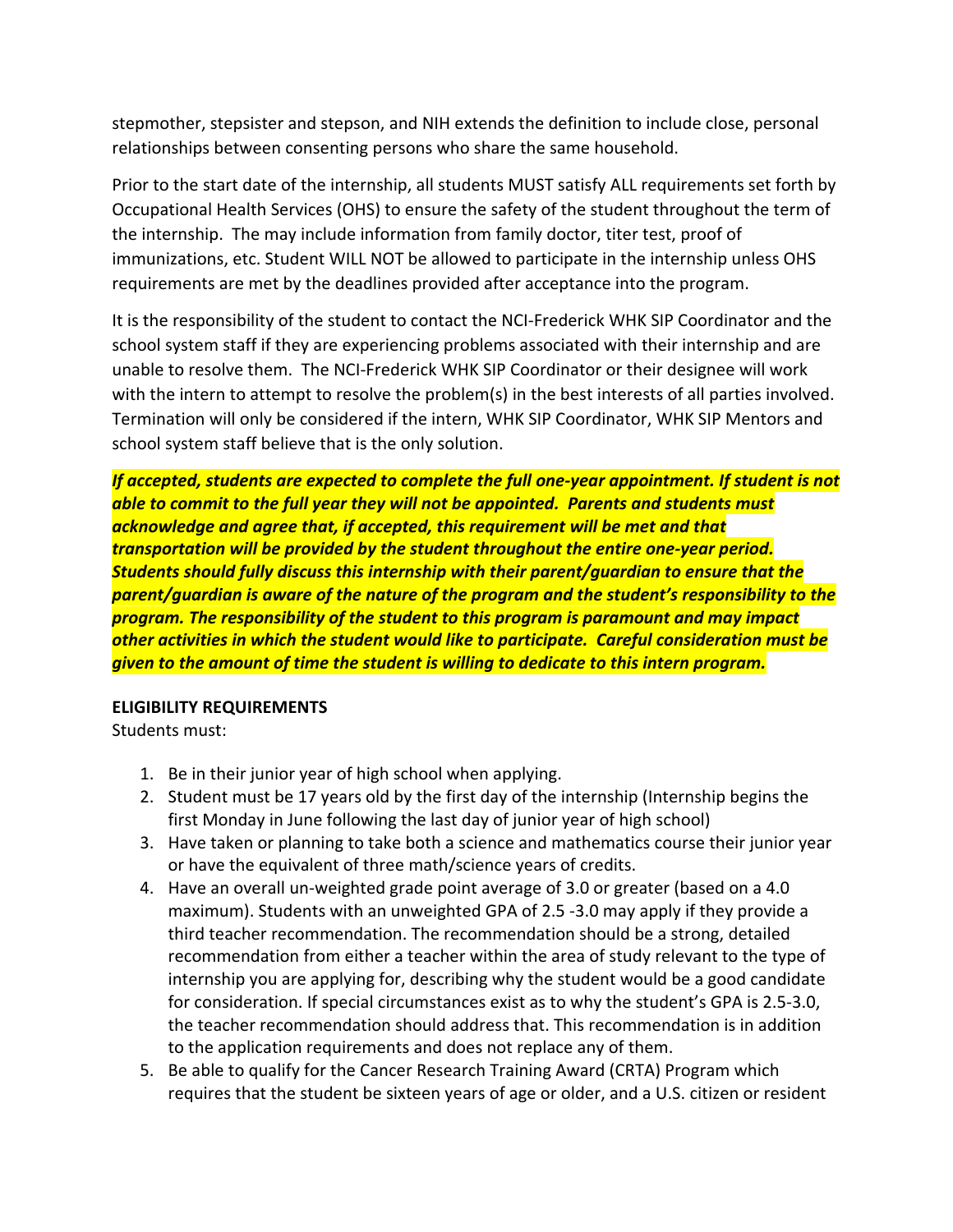stepmother, stepsister and stepson, and NIH extends the definition to include close, personal relationships between consenting persons who share the same household.

Prior to the start date of the internship, all students MUST satisfy ALL requirements set forth by Occupational Health Services (OHS) to ensure the safety of the student throughout the term of the internship. The may include information from family doctor, titer test, proof of immunizations, etc. Student WILL NOT be allowed to participate in the internship unless OHS requirements are met by the deadlines provided after acceptance into the program.

It is the responsibility of the student to contact the NCI-Frederick WHK SIP Coordinator and the school system staff if they are experiencing problems associated with their internship and are unable to resolve them. The NCI-Frederick WHK SIP Coordinator or their designee will work with the intern to attempt to resolve the problem(s) in the best interests of all parties involved. Termination will only be considered if the intern, WHK SIP Coordinator, WHK SIP Mentors and school system staff believe that is the only solution.

*If accepted, students are expected to complete the full one-year appointment. If student is not able to commit to the full year they will not be appointed. Parents and students must acknowledge and agree that, if accepted, this requirement will be met and that transportation will be provided by the student throughout the entire one-year period. Students should fully discuss this internship with their parent/guardian to ensure that the parent/guardian is aware of the nature of the program and the student's responsibility to the program. The responsibility of the student to this program is paramount and may impact other activities in which the student would like to participate. Careful consideration must be given to the amount of time the student is willing to dedicate to this intern program.*

### **ELIGIBILITY REQUIREMENTS**

Students must:

- 1. Be in their junior year of high school when applying.
- 2. Student must be 17 years old by the first day of the internship (Internship begins the first Monday in June following the last day of junior year of high school)
- 3. Have taken or planning to take both a science and mathematics course their junior year or have the equivalent of three math/science years of credits.
- 4. Have an overall un-weighted grade point average of 3.0 or greater (based on a 4.0 maximum). Students with an unweighted GPA of 2.5 -3.0 may apply if they provide a third teacher recommendation. The recommendation should be a strong, detailed recommendation from either a teacher within the area of study relevant to the type of internship you are applying for, describing why the student would be a good candidate for consideration. If special circumstances exist as to why the student's GPA is 2.5-3.0, the teacher recommendation should address that. This recommendation is in addition to the application requirements and does not replace any of them.
- 5. Be able to qualify for the Cancer Research Training Award (CRTA) Program which requires that the student be sixteen years of age or older, and a U.S. citizen or resident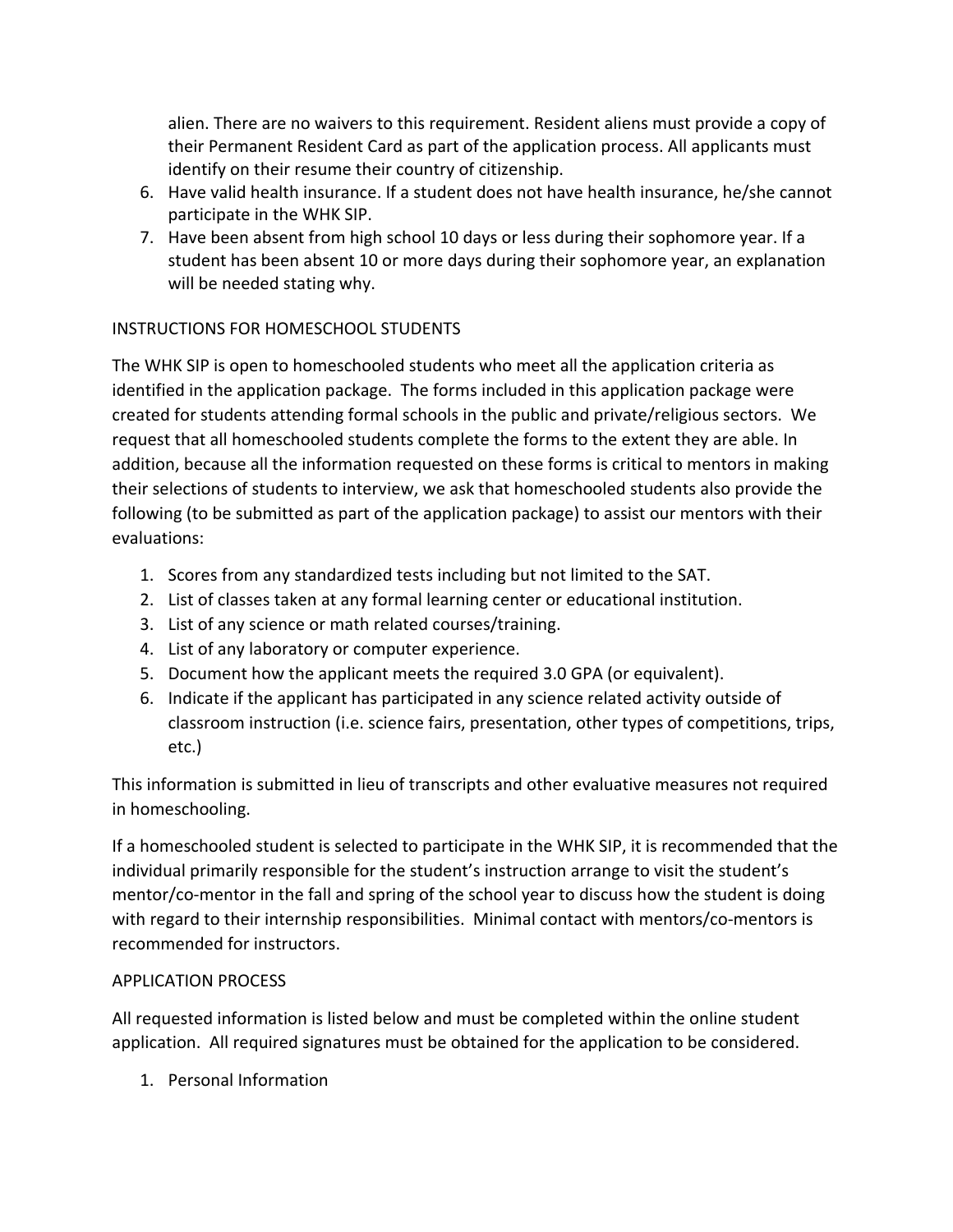alien. There are no waivers to this requirement. Resident aliens must provide a copy of their Permanent Resident Card as part of the application process. All applicants must identify on their resume their country of citizenship.

- 6. Have valid health insurance. If a student does not have health insurance, he/she cannot participate in the WHK SIP.
- 7. Have been absent from high school 10 days or less during their sophomore year. If a student has been absent 10 or more days during their sophomore year, an explanation will be needed stating why.

## INSTRUCTIONS FOR HOMESCHOOL STUDENTS

The WHK SIP is open to homeschooled students who meet all the application criteria as identified in the application package. The forms included in this application package were created for students attending formal schools in the public and private/religious sectors. We request that all homeschooled students complete the forms to the extent they are able. In addition, because all the information requested on these forms is critical to mentors in making their selections of students to interview, we ask that homeschooled students also provide the following (to be submitted as part of the application package) to assist our mentors with their evaluations:

- 1. Scores from any standardized tests including but not limited to the SAT.
- 2. List of classes taken at any formal learning center or educational institution.
- 3. List of any science or math related courses/training.
- 4. List of any laboratory or computer experience.
- 5. Document how the applicant meets the required 3.0 GPA (or equivalent).
- 6. Indicate if the applicant has participated in any science related activity outside of classroom instruction (i.e. science fairs, presentation, other types of competitions, trips, etc.)

This information is submitted in lieu of transcripts and other evaluative measures not required in homeschooling.

If a homeschooled student is selected to participate in the WHK SIP, it is recommended that the individual primarily responsible for the student's instruction arrange to visit the student's mentor/co-mentor in the fall and spring of the school year to discuss how the student is doing with regard to their internship responsibilities. Minimal contact with mentors/co-mentors is recommended for instructors.

### APPLICATION PROCESS

All requested information is listed below and must be completed within the online student application. All required signatures must be obtained for the application to be considered.

1. Personal Information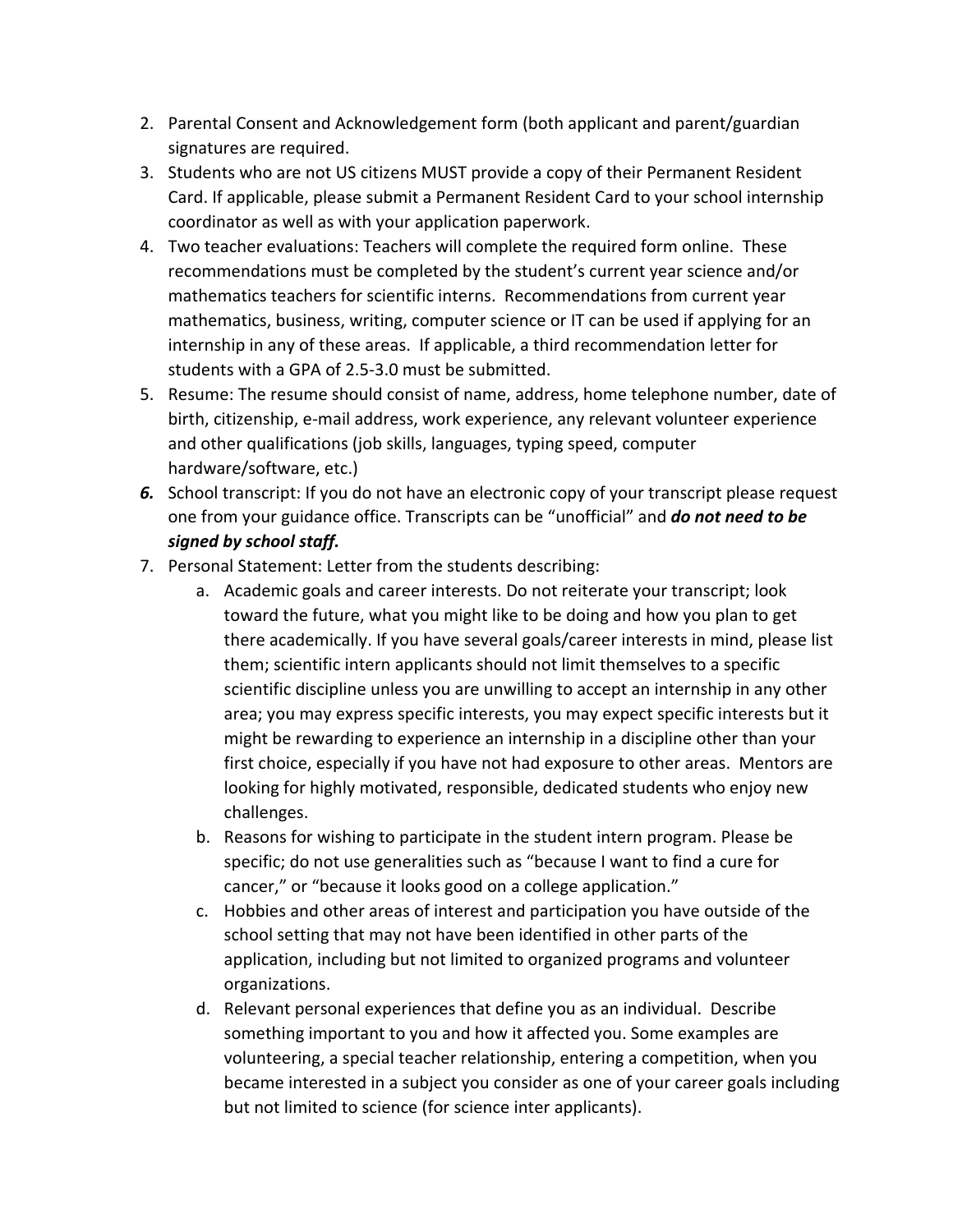- 2. Parental Consent and Acknowledgement form (both applicant and parent/guardian signatures are required.
- 3. Students who are not US citizens MUST provide a copy of their Permanent Resident Card. If applicable, please submit a Permanent Resident Card to your school internship coordinator as well as with your application paperwork.
- 4. Two teacher evaluations: Teachers will complete the required form online. These recommendations must be completed by the student's current year science and/or mathematics teachers for scientific interns. Recommendations from current year mathematics, business, writing, computer science or IT can be used if applying for an internship in any of these areas. If applicable, a third recommendation letter for students with a GPA of 2.5-3.0 must be submitted.
- 5. Resume: The resume should consist of name, address, home telephone number, date of birth, citizenship, e-mail address, work experience, any relevant volunteer experience and other qualifications (job skills, languages, typing speed, computer hardware/software, etc.)
- *6.* School transcript: If you do not have an electronic copy of your transcript please request one from your guidance office. Transcripts can be "unofficial" and *do not need to be signed by school staff.*
- 7. Personal Statement: Letter from the students describing:
	- a. Academic goals and career interests. Do not reiterate your transcript; look toward the future, what you might like to be doing and how you plan to get there academically. If you have several goals/career interests in mind, please list them; scientific intern applicants should not limit themselves to a specific scientific discipline unless you are unwilling to accept an internship in any other area; you may express specific interests, you may expect specific interests but it might be rewarding to experience an internship in a discipline other than your first choice, especially if you have not had exposure to other areas. Mentors are looking for highly motivated, responsible, dedicated students who enjoy new challenges.
	- b. Reasons for wishing to participate in the student intern program. Please be specific; do not use generalities such as "because I want to find a cure for cancer," or "because it looks good on a college application."
	- c. Hobbies and other areas of interest and participation you have outside of the school setting that may not have been identified in other parts of the application, including but not limited to organized programs and volunteer organizations.
	- d. Relevant personal experiences that define you as an individual. Describe something important to you and how it affected you. Some examples are volunteering, a special teacher relationship, entering a competition, when you became interested in a subject you consider as one of your career goals including but not limited to science (for science inter applicants).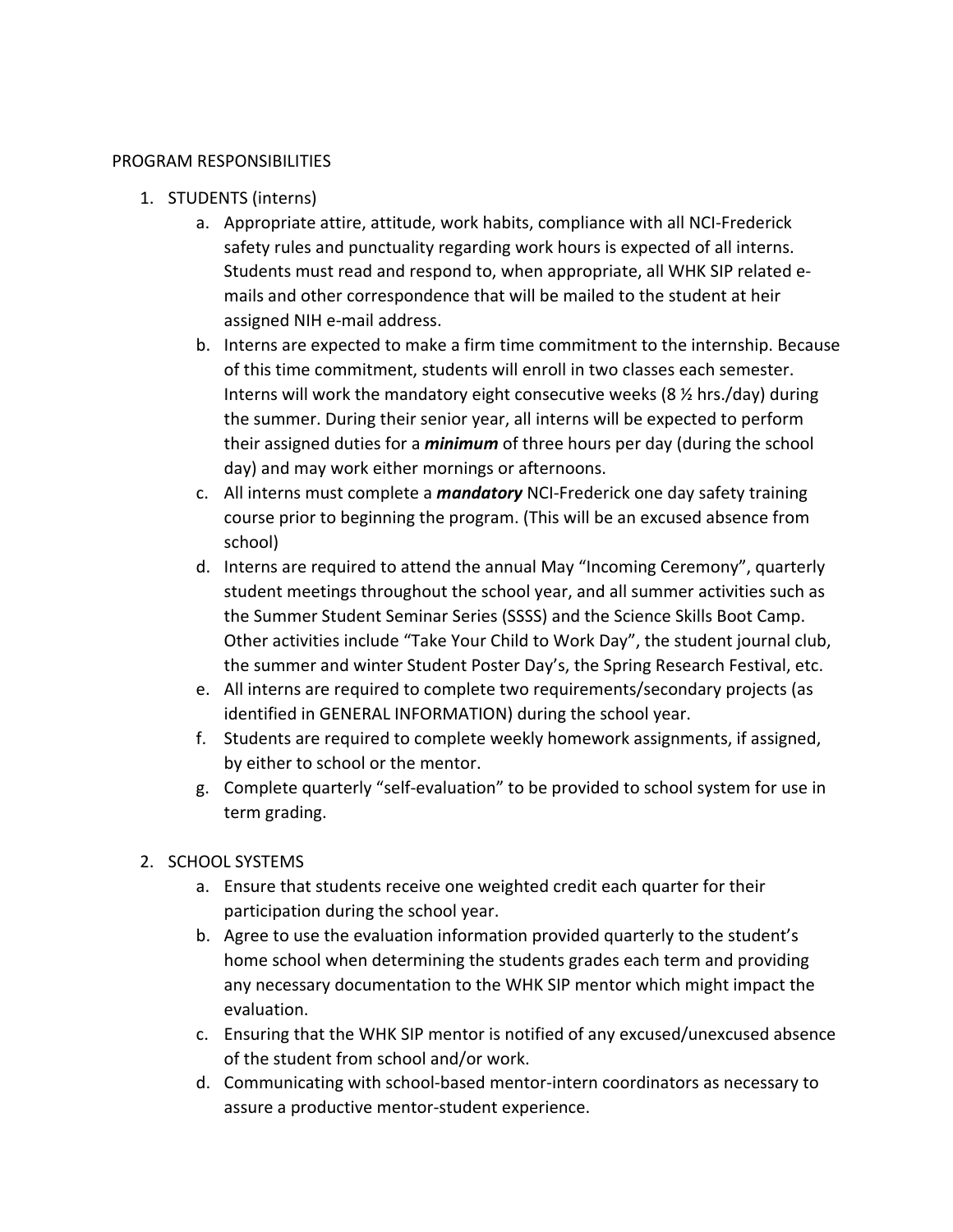#### PROGRAM RESPONSIBILITIES

- 1. STUDENTS (interns)
	- a. Appropriate attire, attitude, work habits, compliance with all NCI-Frederick safety rules and punctuality regarding work hours is expected of all interns. Students must read and respond to, when appropriate, all WHK SIP related emails and other correspondence that will be mailed to the student at heir assigned NIH e-mail address.
	- b. Interns are expected to make a firm time commitment to the internship. Because of this time commitment, students will enroll in two classes each semester. Interns will work the mandatory eight consecutive weeks (8 ½ hrs./day) during the summer. During their senior year, all interns will be expected to perform their assigned duties for a *minimum* of three hours per day (during the school day) and may work either mornings or afternoons.
	- c. All interns must complete a *mandatory* NCI-Frederick one day safety training course prior to beginning the program. (This will be an excused absence from school)
	- d. Interns are required to attend the annual May "Incoming Ceremony", quarterly student meetings throughout the school year, and all summer activities such as the Summer Student Seminar Series (SSSS) and the Science Skills Boot Camp. Other activities include "Take Your Child to Work Day", the student journal club, the summer and winter Student Poster Day's, the Spring Research Festival, etc.
	- e. All interns are required to complete two requirements/secondary projects (as identified in GENERAL INFORMATION) during the school year.
	- f. Students are required to complete weekly homework assignments, if assigned, by either to school or the mentor.
	- g. Complete quarterly "self-evaluation" to be provided to school system for use in term grading.
- 2. SCHOOL SYSTEMS
	- a. Ensure that students receive one weighted credit each quarter for their participation during the school year.
	- b. Agree to use the evaluation information provided quarterly to the student's home school when determining the students grades each term and providing any necessary documentation to the WHK SIP mentor which might impact the evaluation.
	- c. Ensuring that the WHK SIP mentor is notified of any excused/unexcused absence of the student from school and/or work.
	- d. Communicating with school-based mentor-intern coordinators as necessary to assure a productive mentor-student experience.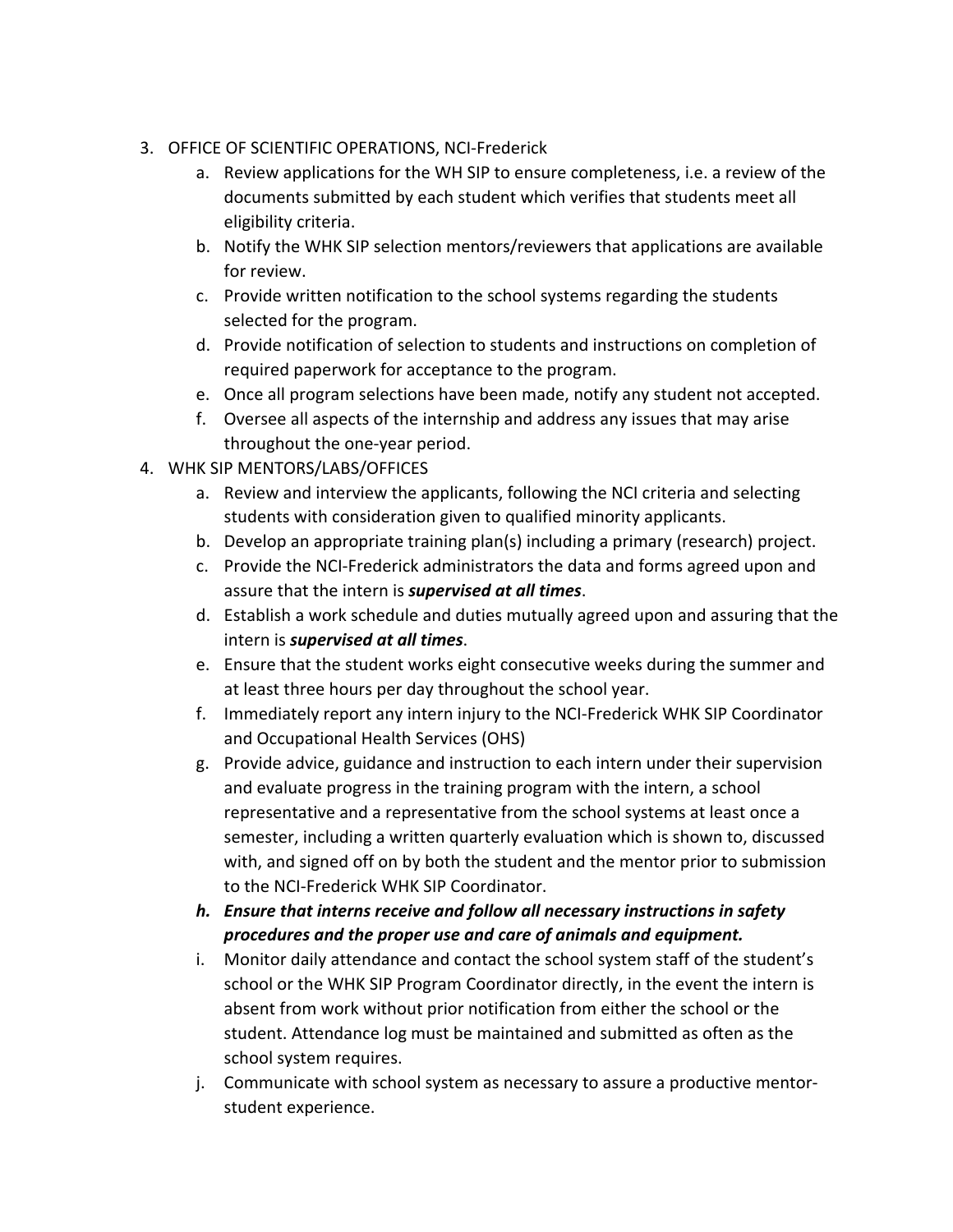- 3. OFFICE OF SCIENTIFIC OPERATIONS, NCI-Frederick
	- a. Review applications for the WH SIP to ensure completeness, i.e. a review of the documents submitted by each student which verifies that students meet all eligibility criteria.
	- b. Notify the WHK SIP selection mentors/reviewers that applications are available for review.
	- c. Provide written notification to the school systems regarding the students selected for the program.
	- d. Provide notification of selection to students and instructions on completion of required paperwork for acceptance to the program.
	- e. Once all program selections have been made, notify any student not accepted.
	- f. Oversee all aspects of the internship and address any issues that may arise throughout the one-year period.
- 4. WHK SIP MENTORS/LABS/OFFICES
	- a. Review and interview the applicants, following the NCI criteria and selecting students with consideration given to qualified minority applicants.
	- b. Develop an appropriate training plan(s) including a primary (research) project.
	- c. Provide the NCI-Frederick administrators the data and forms agreed upon and assure that the intern is *supervised at all times*.
	- d. Establish a work schedule and duties mutually agreed upon and assuring that the intern is *supervised at all times*.
	- e. Ensure that the student works eight consecutive weeks during the summer and at least three hours per day throughout the school year.
	- f. Immediately report any intern injury to the NCI-Frederick WHK SIP Coordinator and Occupational Health Services (OHS)
	- g. Provide advice, guidance and instruction to each intern under their supervision and evaluate progress in the training program with the intern, a school representative and a representative from the school systems at least once a semester, including a written quarterly evaluation which is shown to, discussed with, and signed off on by both the student and the mentor prior to submission to the NCI-Frederick WHK SIP Coordinator.
	- *h. Ensure that interns receive and follow all necessary instructions in safety procedures and the proper use and care of animals and equipment.*
	- i. Monitor daily attendance and contact the school system staff of the student's school or the WHK SIP Program Coordinator directly, in the event the intern is absent from work without prior notification from either the school or the student. Attendance log must be maintained and submitted as often as the school system requires.
	- j. Communicate with school system as necessary to assure a productive mentorstudent experience.